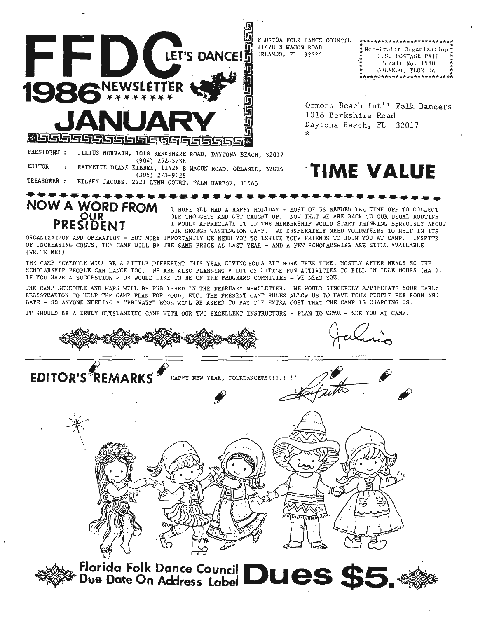

 $\sim$  and  $\sim$ 

OUR

**PRESIDENT** 

FLORIDA FOLK DANCE COUNCIL 11428 B WAGON ROAD ORLANDO, FL 32826

|     | **************************      |
|-----|---------------------------------|
|     | ※Non-Profit Organization #      |
| 2   | U.S. POSTAGE PAID<br>×<br>ä     |
| ń,  | Permit No. 1580<br>黄素           |
| 大大工 | $\star$<br>ORLANDO, FLORIDA     |
|     | ★<br>************************** |

Ormond Beach Int'l Folk Dancers 1018 Berkshire Road Daytona Beach, FL 32017  $\star$ 

## **TIME VALUE**

JULIUS HORVATH, 1018 BERKSHIRE ROAD, DAYTONA BEACH, 32017 PRESIDENT :  $(904)$  252-5738 **EDITOR** RAYNETTE DIANE KIBBEE, 11428 B WAGON ROAD, ORLANDO, 32826  $(305)$  273-9128 TREASURER : EILEEN JACOBS, 2221 LYNN COURT, PALM HARBOR, 33563

**NOW A WORD FROM** I HOPE ALL HAD A HAPPY HOLIDAY - MOST OF US NEEDED THE TIME OFF TO COLLECT OUR THOUGHTS AND GET CAUGHT UP. NOW THAT WE ARE BACK TO OUR USUAL ROUTINE I WOULD APPRECIATE IT IF THE MEMBERSHIP WOULD START THINKING SERIOUSLY ABOUT

OUR GEORGE WASHINGTON CAMP. WE DESPERATELY NEED VOLUNTEERS TO HELP IN ITS ORGANIZATION AND OPERATION - BUT MORE IMPORTANTLY WE NEED YOU TO INVITE YOUR FRIENDS TO JOIN YOU AT CAMP. INSPITE OF INCREASING COSTS, THE CAMP WILL BE THE SAME PRICE AS LAST YEAR - AND A FEW SCHOLARSHIPS ARE STILL AVAILABLE (WRITE ME!)

THE CAMP SCHEDULE WILL BE A LITTLE DIFFERENT THIS YEAR GIVING YOU A BIT MORE FREE TIME, MOSTLY AFTER MEALS SO THE SCHOLARSHIP PEOPLE CAN DANCE TOO. WE ARE ALSO PLANNING A LOT OF LITTLE FUN ACTIVITIES TO FILL IN IDLE HOURS (HA!). IF YOU HAVE A SUGGESTION - OR WOULD LIKE TO BE ON THE PROGRAMS COMMITTEE - WE NEED YOU.

THE CAMP SCHEDULE AND MAPS WILL BE PUBLISHED IN THE FEBRUARY NEWSLETTER. WE WOULD SINCERELY APPRECIATE YOUR EARLY REGISTRATION TO HELP THE CAMP PLAN FOR FOOD, ETC. THE PRESENT CAMP RULES ALLOW US TO HAVE FOUR PEOPLE PER ROOM AND BATH - SO ANYONE NEEDING A "PRIVATE" ROOM WILL BE ASKED TO PAY THE EXTRA COST THAT THE CAMP IS CHARGING US.

IT SHOULD BE A TRULY OUTSTANDING CAMP WITH OUR TWO EXCELLENT INSTRUCTORS - PLAN TO COME - SEE YOU AT CAMP.

**EDITOR'S REMARKS** HAPPY NEW YEAR, FOLKDANCERS! !!!!!!! **Jatu** 

Florida Folk Dance Council Dues \$55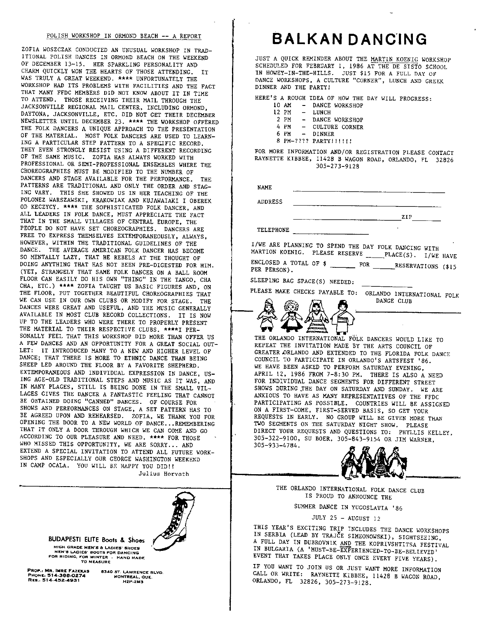## POLISH WORKSHOP IN ORMOND BEACH -- A REPORT

ZOFIA WOSZCZAK CONDUCTED AN UNUSUAL WORKSHOP IN TRAD-ITIONAL POLISH DANCES IN ORMOND BEACH ON THE WEEKEND OF DECEMBER 13-15. HER SPARKLING PERSONALITY AND CHARM QUICKLY WON THE HEARTS OF THOSE ATTENDING. IT WAS TRULY A GREAT WEEKEND. \*\*\*\* UNFORTUNATELY THE WORKSHOP HAD ITS PROBLEMS WITH FACILITIES AND THE FACT THAT MANY FFDC MEMBERS DID NOT KNOW ABOUT IT IN TIME TO ATTEND. THOSE RECEIVING THEIR MAIL THROUGH THE JACKSONVILLE REGIONAL MAIL CENTER, INCLUDING ORMOND, DAYTONA, JACKSONVILLE, ETC. DID NOT GET THEIR DECEMBER NEWSLETTER UNTIL DECEMBER 23. \*\*\*\* THE WORKSHOP OFFERED THE FOLK DANCERS A UNIQUE APPROACH TO THE PRESENTATION OF THE MATERIAL. MOST FOLK DANCERS ARE USED TO LEARN-ING A PARTICULAR STEP PATTERN TO A SPECIFIC RECORD. THEY EVEN STRONGLY RESIST USING A DIFFERENT RECORDING OF THE SAME MUSIC. ZOFIA HAS ALWAYS WORKED WITH PROFESSIONAL OR SEMI-PROFESSIONAL ENSEMBLES WHERE THE CHOREOGRAPHIES MUST BE MODIFIED TO THE NUMBER OF DANCERS AND STAGE AVAILABLE FOR THE PERFORMANCE. THE PATTERNS ARE TRADITIONAL AND ONLY THE ORDER AND STAG-ING VARY. THIS SHE SHOWED US IN HER TEACHING OF THE POLONEZ WARSZAWSKI, KRAKOWIAK AND KUJAWAIAKI I OBEREK OD KECZYCY. \*\*\*\* THE SOPHISTICATED FOLK DANCER, AND ALL LEADERS IN FOLK DANCE, MUST APPRECIATE THE FACT THAT IN THE SMALL VILLAGES OF CENTRAL EUROPE, THE PEOPLE DO NOT HAVE SET CHOREOGRAPHIES. DANCERS ARE FREE TO EXPRESS THEMSELVES EXTEMPORANEOUSLY, ALWAYS, HOWEVER, WITHIN THE TRADITIONAL GUIDELINES OF THE DANCE. THE AVERAGE AMERICAN FOLK DANCER HAS BECOME SO MENTALLY LAZY, THAT HE REBELS AT THE THOUGHT OF DOING ANYTHING THAT HAS NOT BEEN PRE-DIGESTED FOR HIM. (YET, STRANGELY THAT SAME FOLK DANCER ON A BALL ROOM FLOOR CAN EASILY DO HIS OWN "THING" IN THE TANGO, CHA CHA, ETC.) \*\*\*\* ZOFIA TAUGHT US BASIC FIGURES AND, ON THE FLOOR, PUT TOGETHER BEAUTIFUL CHOREOGRAPHIES THAT WE CAN USE IN OUR OWN CLUBS OR MODIFY FOR STAGE. THE DANCES WERE GREAT AND USEFUL, AND THE MUSIC GENERALLY AVAILABLE IN MOST CLUB RECORD COLLECTIONS. IT IS NOW UP TO THE LEADERS WHO WERE THERE TO PROPERLY PRESENT THE MATERIAL TO THEIR RESPECTIVE CLUBS. \*\*\*\*I PER-SONALLY FEEL THAT THIS WORKSHOP DID MORE THAN OFFER US A FEW DANCES AND AN OPPORTUNITY FOR A GREAT SOCIAL OUT-LET: IT INTRODUCED MANY TO A NEW AND HIGHER LEVEL OF DANCE; THAT THERE IS MORE TO ETHNIC DANCE THAN BEING SHEEP LED AROUND THE FLOOR BY A FAVORITE SHEPHERD. EXTEMPORANEOUS AND INDIVIDUAL EXPRESSION IN DANCE, US-ING AGE-OLD TRADITIONAL STEPS AND MUSIC AS IT WAS, AND IN MANY PLACES, STILL IS BEING DONE IN THE SMALL VIL-LAGES GIVES THE DANCER A FANTASTIC FEELING THAT CANNOT BE OBTAINED DOING "CANNED" DANCES. OF COURSE FOR SHOWS AND PERFORMANCES ON STAGE, A SET PATTERN HAS TO BE AGREED UPON AND REHEARSED. ZOFIA, WE THANK YOU FOR OPENING THE DOOR TO A NEW WORLD OF DANCE... REMEMBERING THAT IT ONLY A DOOR THROUGH WHICH WE CAN COME AND GO ACCORDING TO OUR PLEASURE AND NEED. \*\*\*\* FOR THOSE WHO MISSED THIS OPPORTUNITY, WE ARE SORRY... AND EXTEND A SPECIAL INVITATION TO ATTEND ALL FUTURE WORK-SHOPS AND ESPECIALLY OUR GEORGE WASHINGTON WEEKEND IN CAMP OCALA. YOU WILL BE HAPPY YOU DID!!

Julius Horvath



## **BALKAN DANC'ING**

JUST A QUICK REMINDER ABOUT THE MARTIN KOENIG WORKSHOP SCHEDULED FOR FEBRUARY 1, 1986 AT THE DE SISTO SCHOOL IN HOWEY-IN-THE-HILLS. JUST \$15 FOR A FULL DAY OF DANCE WORKSHOPS, A CULTURE "CORNER", LUNCH AND GREEK DINNER AND THE PARTY!

HERE'S A ROUGH IDEA OF HOW THE DAY WILL PROGRESS:<br>10 AM - DANCE WORKSHOP

- 10 AM DANCE WORKSHOP<br>12 PM LUNCH
- 12 PM LUNCH<br>2 PM DANCE
- 2 PM DANCE WORKSHOP<br>4 PM CULTURE CORNER
- 4 PM CULTURE CORNER<br>6 PM DINNER
- DINNER
- 8 PM-???? PARTY!!!!!!

FOR MORE INFORMATION AND/OR REGISTRATION PLEASE CONTACT RAYNETTE KIBBEE, 11428 B WAGON ROAD, ORLANDO, FL 32826 305-273-9128

| <b>NAME</b>    |                                                      |
|----------------|------------------------------------------------------|
| <b>ADDRESS</b> |                                                      |
|                | ZIP                                                  |
| TELEPHONE      |                                                      |
|                | I/WE ARE PLANNING TO SPEND THE DAY FOLK DANCING WITH |

| I/WE ARE PLANNING TO SPEND THE DAY FOLK DANCING WITH<br>MARTION KOENIG. PLEASE RESERVE _______PLACE(S). I/WE HAVE |  |
|-------------------------------------------------------------------------------------------------------------------|--|
| PER PERSON).                                                                                                      |  |

DANCE CLUB

SLEEPING BAG SPACE(S) NEEDED:

PLEASE MAKE CHECKS PAYABLE TO: ORLANDO INTERNATIONAL FOLK

┳

THE ORLANDO INTERNATIONAL FOLK DANCERS WOULD LIKE TO REPEAT THE INVITATION MADE BY THE ARTS COUNCIL OF GREATER.ORLANDO AND EXTENDED TO THE FLORIDA FOLK DANCE COUNCIL TO PARTICIPATE IN ORLANDO'S ARTSFEST '86 . WE HAVE BEEN ASKED TO PERFORM SATURDAY EVENING, APRIL 12, 1986 FROM 7-8:30 PM. THERE IS ALSO *A* NEED FOR INDIVIDUAL DANCE SEGMENTS FOR DIFFERENT STREET SHOWS DURING THE DAY ON SATURDAY AND SUNDAY. WE ARE ANXIOUS TO HAVE AS MANY REPRESENTATIVES OF THE FFDC PARTICIPATING AS POSSIBLE. COUNTRIES WILL BE ASSIGNED ON A FIRST-COME, FIRST-SERVED BASIS, SO GET YOUR REQUESTS IN EARLY. NO GROUP WILL BE GIVEN MORE THAN TWO SEGMENTS ON THE SATURDAY NIGHT SHOW. PLEASE DIRECT YOUR REQUESTS AND QUESTIONS TO: PHYLLIS KELLEY, 305-322-9100, SU BOER, 305-843-9154 OR JIM WARNER, ANATOOS TO HAVE AS MANY REPRESENTATIVES OF THE FFDC<br>PARTICIPATING AS POSSIBLE. COUNTRIES WILL BE ASSIGNED<br>ON A FIRST-COME, FIRST-SERVED BASIS, SO GET YOUR<br>REQUESTS IN EARLY. NO GROUP WILL BE GIVEN MORE THAN<br>TWO SEGMENTS ON THE ORLANDO INTERNATIONAL FOLK DANCE CLUB



IS PROUD TO ANNOUNCE THE

SUMMER DANCE IN YUGOSLAVIA '86

JULY 25 - AUGUST 12

THIS YEAR'S EXCITING TRIP INCLUDES THE DANCE WORKSHOPS IN SERBIA (LEAD BY TRAJCE SIMEONOWSKI), SIGHTSEEING, A FULL DAY IN DUBROVNIK AND THE KOPRIVSHTITSA FESTIVAL IN BULGARIA (A 'MUST-BE-EXPERIENCED-TO-BE-BELIEVED' EVENT THAT TAKES PLACE ONLY ONCE EVERY FIVE YEARS).

IF YOU WANT TO JOIN US OR JUST WANT MORE INFORMATION CALL OR WRITE: RAYNETTE KIBBEE, 11428 B WAGON ROAD, ORLANDO, FL 32826, 305-273-9128.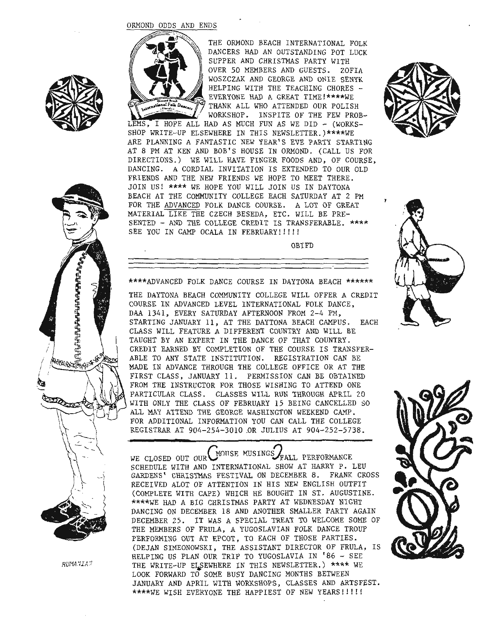## ORMOND ODDS AND ENDS



THE ORMOND BEACH INTERNATIONAL FOLK DANCERS HAD AN OUTSTANDING POT LUCK SUPPER AND CHRISTMAS PARTY WITH OVER 50 MEMBERS AND GUESTS. ZOFIA WOSZCZAK AND GEORGE AND ONIE SENYK HELPING WITH THE TEACHING CHORES -EVERYONE HAD A GREAT TIME!\*\*\*\*WE THANK ALL WHO ATTENDED OUR POLISH WORKSHOP. INSPITE OF THE FEW PROB-

LEMS, I HOPE ALL HAD AS MUCH FUN AS WE DID - (WORKS-SHOP WRITE-UP ELSEWHERE IN THIS NEWSLETTER.)\*\*\*\*WE ARE PLANNING A FANTASTIC NEW YEAR'S EVE PARTY STARTING AT 8 PM AT KEN AND BOB'S HOUSE IN ORMOND. (CALL US FOR DIRECTIONS.) WE WILL HAVE FINGER FOODS AND, OF COURSE, DANCING. A CORDIAL INVITATION IS EXTENDED TO OUR OLD FRIENDS AND THE NEW FRIENDS WE HOPE TO MEET THERE. JOIN US! \*\*\*\* WE HOPE YOU WILL JOIN US IN DAYTONA BEACH AT THE COMMUNITY COLLEGE EACH SATURDAY AT 2 PM FOR THE ADVANCED FOLK DANCE COURSE. A LOT OF GREAT MATERIAL LIKE THE CZECH BESEDA, ETC. WILL BE PRE-SENTED - AND THE COLLEGE CREDIT IS TRANSFERABLE. \*\*\*\* SEE YOU IN CAMP OCALA IN FEBRUARY!!!!!

OBIFD





\*\*\*\*ADVANCED FOLK DANCE COURSE IN DAYTONA BEACH \*\*\*\*\*\*

THE DAYTONA BEACH COMMUNITY COLLEGE WILL OFFER A CREDIT COURSE IN ADVANCED LEVEL INTERNATIONAL FOLK DANCE, DAA 1341, EVERY SATURDAY AFTERNOON FROM 2-4 PM, STARTING JANUARY 11, AT THE DAYTONA BEACH CAMPUS. EACH CLASS WILL FEATURE A DIFFERENT COUNTRY AND WILL BE TAUGHT BY AN EXPERT IN THE DANCE OF THAT COUNTRY. CREDIT EARNED BY COMPLETION OF THE COURSE IS TRANSFER-ABLE TO ANY STATE INSTITUTION. REGISTRATION CAN BE MADE IN ADVANCE THROUGH THE COLLEGE OFFICE OR AT THE FIRST CLASS, JANUARY 11. PERMISSION CAN BE OBTAINED FROM THE INSTRUCTOR FOR THOSE WISHING TO ATTEND ONE PARTICULAR CLASS. CLASSES WILL RUN THROUGH APRIL 20 WITH ONLY THE CLASS OF FEBRUARY 15 BEING CANCELLED SO ALL MAY ATTEND THE GEORGE WASHINGTON WEEKEND CAMP. FOR ADDITIONAL INFORMATION YOU CAN CALL THE COLLEGE REGISTRAR AT 904-254-3010 .OR JULIUS AT 904-252-5738.

WE CLOSED OUT OUR MONSE MUSINGS FALL PERFORMANCE SCHEDULE WITH AND INTERNATIONAL SHOW AT HARRY P. LEU GARDENS' CHRISTMAS FESTIVAL ON DECEMBER 8. FRANK CROSS RECEIVED ALOT OF ATTENTION IN HIS NEW ENGLISH OUTFIT (COMPLETE WITH CAPE) WHICH HE BOUGHT IN ST. AUGUSTINE. \*\*\*\*WE HAD A BIG CHRISTMAS PARTY AT WEDNESDAY NIGHT DANCING ON DECEMBER 18 AND ANOTHER SMALLER PARTY AGAIN DECEMBER 25. IT WAS A SPECIAL TREAT TO WELCOME SOME OF THE MEMBERS OF FRULA, A YUGOSLAVIAN FOLK DANCE TROUP PERFORMING OUT AT EPCOT, TO EACH OF THOSE PARTIES. (DEJAN SIMEONOWSKI, THE ASSISTANT DIRECTOR OF FRULA, IS HELPING US PLAN OUR TRIP TO YUGOSLAVIA IN '86 - SEE THE WRITE-UP ELSEWHERE IN THIS NEWSLETTER.) \*\*\*\* WE LOOK FORWARD TO SOME BUSY DANCING MONTHS BETWEEN JANUARY AND APRIL WITH WORKSHOPS, CLASSES AND ARTSFEST. \*\*\*\*WE WISH EVERYONE THE HAPPIEST OF NEW YEARS!!!!!







RVtM.'JIA."l